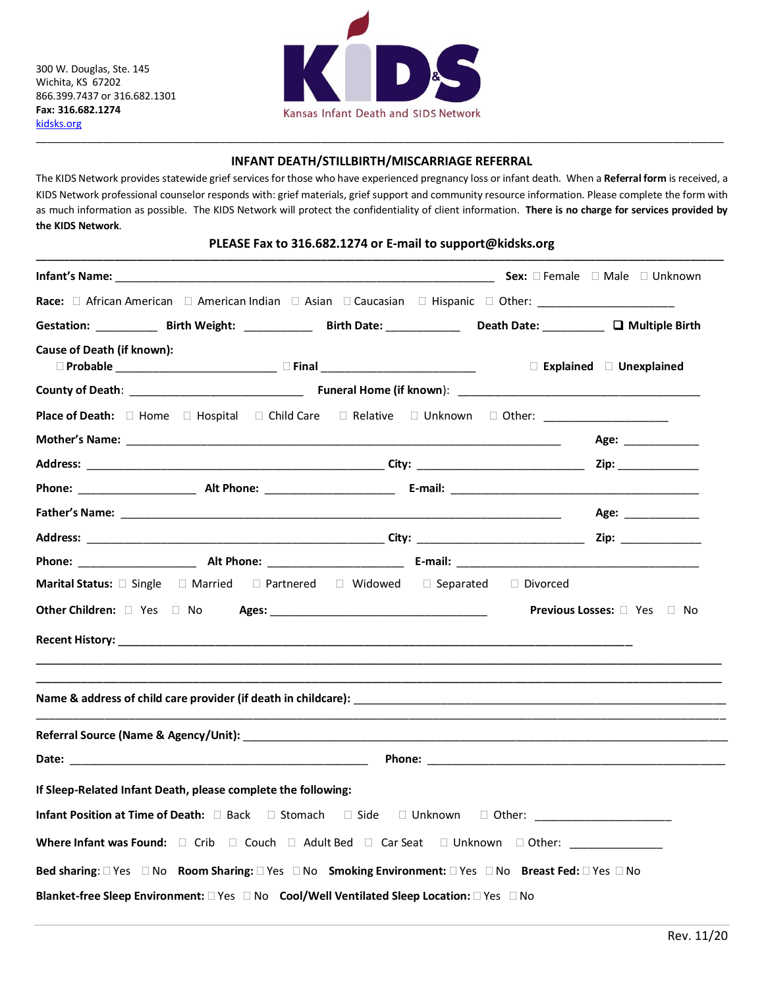300 W. Douglas, Ste. 145 Wichita, KS 67202 866.399.7437 or 316.682.1301 **Fax: 316.682.1274** [kidsks.org](http://www.kidsks.org/)



## \_\_\_\_\_\_\_\_\_\_\_\_\_\_\_\_\_\_\_\_\_\_\_\_\_\_\_\_\_\_\_\_\_\_\_\_\_\_\_\_\_\_\_\_\_\_\_\_\_\_\_\_\_\_\_\_\_\_\_\_\_\_\_\_\_\_\_\_\_\_\_\_\_\_\_\_\_\_\_\_\_\_\_\_\_\_\_\_\_\_\_\_\_\_\_\_\_\_\_\_\_\_\_\_\_\_\_\_\_\_\_\_\_\_\_\_\_\_\_\_\_\_\_ **INFANT DEATH/STILLBIRTH/MISCARRIAGE REFERRAL**

The KIDS Network provides statewide grief services for those who have experienced pregnancy loss or infant death. When a **Referral form** is received, a KIDS Network professional counselor responds with: grief materials, grief support and community resource information. Please complete the form with as much information as possible. The KIDS Network will protect the confidentiality of client information. **There is no charge for services provided by the KIDS Network**.

## **PLEASE Fax to 316.682.1274 or E-mail to support@kidsks.org \_\_\_\_\_\_\_\_\_\_\_\_\_\_\_\_\_\_\_\_\_\_\_\_\_\_\_\_\_\_\_\_\_\_\_\_\_\_\_\_\_\_\_\_\_\_\_\_\_\_\_\_\_\_\_\_\_\_\_\_\_\_\_\_\_\_\_\_\_\_\_\_\_\_\_\_\_\_\_\_\_\_\_\_\_\_\_\_\_\_\_\_\_\_\_\_\_\_\_\_\_\_\_\_\_\_\_\_\_\_\_\_\_\_\_\_\_\_\_\_\_\_\_**

|                                   | <b>Infant's Name:</b> △                                Sex: □ Female □ Male □ Unknown                                                                                                                                          |  |                                                                                                                                                                                                                                |
|-----------------------------------|--------------------------------------------------------------------------------------------------------------------------------------------------------------------------------------------------------------------------------|--|--------------------------------------------------------------------------------------------------------------------------------------------------------------------------------------------------------------------------------|
|                                   |                                                                                                                                                                                                                                |  |                                                                                                                                                                                                                                |
|                                   |                                                                                                                                                                                                                                |  |                                                                                                                                                                                                                                |
| <b>Cause of Death (if known):</b> | □ Probable ___________________________ □ Final ___________________________                                                                                                                                                     |  | $\Box$ Explained $\Box$ Unexplained                                                                                                                                                                                            |
|                                   |                                                                                                                                                                                                                                |  |                                                                                                                                                                                                                                |
|                                   | Place of Death: □ Home □ Hospital □ Child Care □ Relative □ Unknown □ Other: ______________________                                                                                                                            |  |                                                                                                                                                                                                                                |
|                                   |                                                                                                                                                                                                                                |  | Age: a contract of the state of the state of the state of the state of the state of the state of the state of the state of the state of the state of the state of the state of the state of the state of the state of the stat |
|                                   |                                                                                                                                                                                                                                |  | Zip: where the contract of the contract of the contract of the contract of the contract of the contract of the                                                                                                                 |
|                                   |                                                                                                                                                                                                                                |  |                                                                                                                                                                                                                                |
|                                   |                                                                                                                                                                                                                                |  | Age: and the same of the same of the same of the same of the same of the same of the same of the same of the s                                                                                                                 |
|                                   |                                                                                                                                                                                                                                |  | Zip: ____________                                                                                                                                                                                                              |
|                                   |                                                                                                                                                                                                                                |  |                                                                                                                                                                                                                                |
|                                   | <b>Marital Status:</b> $\Box$ Single $\Box$ Married $\Box$ Partnered $\Box$ Widowed $\Box$ Separated $\Box$ Divorced                                                                                                           |  |                                                                                                                                                                                                                                |
|                                   |                                                                                                                                                                                                                                |  | <b>Previous Losses:</b> $\Box$ Yes $\Box$ No                                                                                                                                                                                   |
|                                   |                                                                                                                                                                                                                                |  |                                                                                                                                                                                                                                |
|                                   | Referral Source (Name & Agency/Unit): Note that the second state of the second state of the second state of the second state of the second state of the second state of the second state of the second state of the second sta |  |                                                                                                                                                                                                                                |
|                                   |                                                                                                                                                                                                                                |  |                                                                                                                                                                                                                                |
|                                   | If Sleep-Related Infant Death, please complete the following:                                                                                                                                                                  |  |                                                                                                                                                                                                                                |
|                                   | Infant Position at Time of Death: □ Back □ Stomach □ Side □ Unknown □ Other: ______________________                                                                                                                            |  |                                                                                                                                                                                                                                |
|                                   | Where Infant was Found: $\square$ Crib $\square$ Couch $\square$ Adult Bed $\square$ Car Seat $\square$ Unknown $\square$ Other:                                                                                               |  |                                                                                                                                                                                                                                |
|                                   | Bed sharing: □ Yes □ No Room Sharing: □ Yes □ No Smoking Environment: □ Yes □ No Breast Fed: □ Yes □ No                                                                                                                        |  |                                                                                                                                                                                                                                |
|                                   | Blanket-free Sleep Environment: □ Yes □ No Cool/Well Ventilated Sleep Location: □ Yes □ No                                                                                                                                     |  |                                                                                                                                                                                                                                |